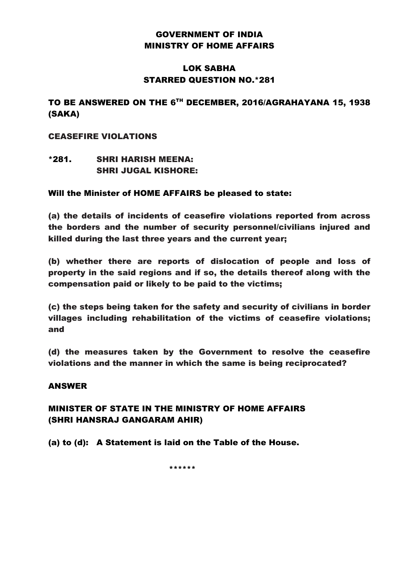## GOVERNMENT OF INDIA MINISTRY OF HOME AFFAIRS

### LOK SABHA STARRED QUESTION NO.\*281

## TO BE ANSWERED ON THE 6TH DECEMBER, 2016/AGRAHAYANA 15, 1938 (SAKA)

### CEASEFIRE VIOLATIONS

\*281. SHRI HARISH MEENA: SHRI JUGAL KISHORE:

### Will the Minister of HOME AFFAIRS be pleased to state:

(a) the details of incidents of ceasefire violations reported from across the borders and the number of security personnel/civilians injured and killed during the last three years and the current year;

(b) whether there are reports of dislocation of people and loss of property in the said regions and if so, the details thereof along with the compensation paid or likely to be paid to the victims;

(c) the steps being taken for the safety and security of civilians in border villages including rehabilitation of the victims of ceasefire violations; and

(d) the measures taken by the Government to resolve the ceasefire violations and the manner in which the same is being reciprocated?

#### ANSWER

## MINISTER OF STATE IN THE MINISTRY OF HOME AFFAIRS (SHRI HANSRAJ GANGARAM AHIR)

(a) to (d): A Statement is laid on the Table of the House.

\*\*\*\*\*\*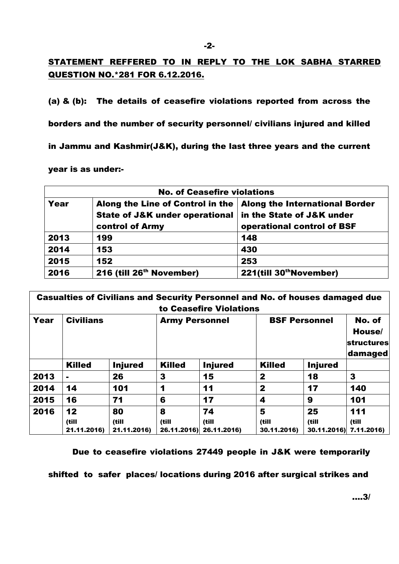# STATEMENT REFFERED TO IN REPLY TO THE LOK SABHA STARRED QUESTION NO.\*281 FOR 6.12.2016.

(a) & (b): The details of ceasefire violations reported from across the

borders and the number of security personnel/ civilians injured and killed

in Jammu and Kashmir(J&K), during the last three years and the current

#### year is as under:-

| <b>No. of Ceasefire violations</b> |                                                                   |                                     |  |  |  |  |
|------------------------------------|-------------------------------------------------------------------|-------------------------------------|--|--|--|--|
| Year                               | Along the Line of Control in the   Along the International Border |                                     |  |  |  |  |
|                                    | State of J&K under operational                                    | in the State of J&K under           |  |  |  |  |
|                                    | control of Army                                                   | operational control of BSF          |  |  |  |  |
| 2013                               | 199                                                               | 148                                 |  |  |  |  |
| 2014                               | 153                                                               | 430                                 |  |  |  |  |
| 2015                               | 152                                                               | 253                                 |  |  |  |  |
| 2016                               | 216 (till 26 <sup>th</sup> November)                              | 221(till 30 <sup>th</sup> November) |  |  |  |  |

| <b>Casualties of Civilians and Security Personnel and No. of houses damaged due</b><br>to Ceasefire Violations |                            |                            |               |                                        |                           |                                           |              |  |  |  |
|----------------------------------------------------------------------------------------------------------------|----------------------------|----------------------------|---------------|----------------------------------------|---------------------------|-------------------------------------------|--------------|--|--|--|
| Year                                                                                                           | <b>Civilians</b>           |                            |               | <b>Army Personnel</b>                  |                           | <b>BSF Personnel</b><br><b>structures</b> |              |  |  |  |
|                                                                                                                | <b>Killed</b>              | <b>Injured</b>             | <b>Killed</b> | <b>Injured</b>                         | <b>Killed</b>             | <b>Injured</b>                            |              |  |  |  |
| 2013                                                                                                           | ۰                          | 26                         | 3             | 15                                     | 2                         | 18                                        | 3            |  |  |  |
| 2014                                                                                                           | 14                         | 101                        | 1             | 11                                     | 2                         | 17                                        | 140          |  |  |  |
| 2015                                                                                                           | 16                         | 71                         | 6             | 17                                     | 4                         | 9                                         | 101          |  |  |  |
| 2016                                                                                                           | 12<br>(till<br>21.11.2016) | 80<br>(till<br>21.11.2016) | 8<br>(till    | 74<br>(till<br>26.11.2016) 26.11.2016) | 5<br>(till<br>30.11.2016) | 25<br>(till<br>30.11.2016) 7.11.2016)     | 111<br>(till |  |  |  |

Due to ceasefire violations 27449 people in J&K were temporarily

shifted to safer places/ locations during 2016 after surgical strikes and

....3/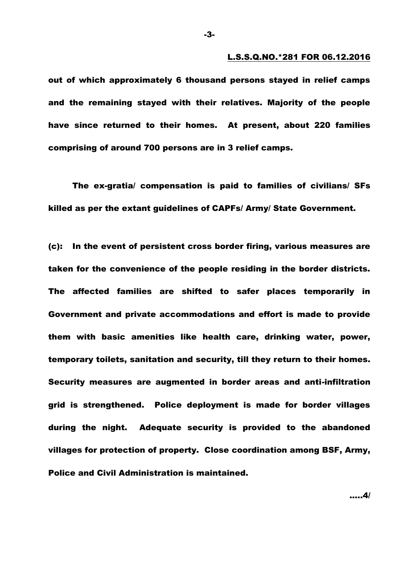#### L.S.S.Q.NO.\*281 FOR 06.12.2016

out of which approximately 6 thousand persons stayed in relief camps and the remaining stayed with their relatives. Majority of the people have since returned to their homes. At present, about 220 families comprising of around 700 persons are in 3 relief camps.

The ex-gratia/ compensation is paid to families of civilians/ SFs killed as per the extant guidelines of CAPFs/ Army/ State Government.

(c): In the event of persistent cross border firing, various measures are taken for the convenience of the people residing in the border districts. The affected families are shifted to safer places temporarily in Government and private accommodations and effort is made to provide them with basic amenities like health care, drinking water, power, temporary toilets, sanitation and security, till they return to their homes. Security measures are augmented in border areas and anti-infiltration grid is strengthened. Police deployment is made for border villages during the night. Adequate security is provided to the abandoned villages for protection of property. Close coordination among BSF, Army, Police and Civil Administration is maintained.

-3-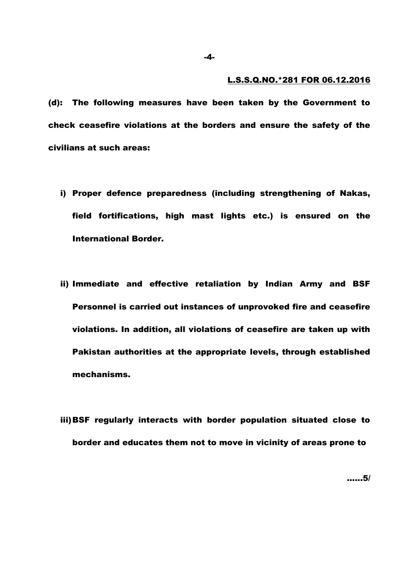#### L.S.S.Q.NO.\*281 FOR 06.12.2016

(d): The following measures have been taken by the Government to check ceasefire violations at the borders and ensure the safety of the civilians at such areas:

- i) Proper defence preparedness (including strengthening of Nakas, field fortifications, high mast lights etc.) is ensured on the International Border.
- ii) Immediate and effective retaliation by Indian Army and BSF Personnel is carried out instances of unprovoked fire and ceasefire violations. In addition, all violations of ceasefire are taken up with Pakistan authorities at the appropriate levels, through established mechanisms.
- iii)BSF regularly interacts with border population situated close to border and educates them not to move in vicinity of areas prone to

-4-

......5/